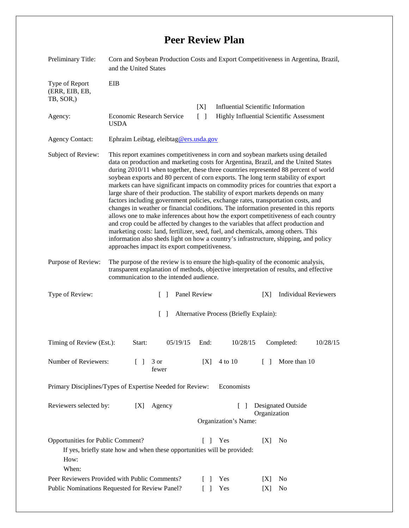## **Peer Review Plan**

| Preliminary Title:                                                                                                                                                       | Corn and Soybean Production Costs and Export Competitiveness in Argentina, Brazil,<br>and the United States                                                                                                                                                                                                                                                                                                                                                                                                                                                                                                                                                                                                                                                                                                                                                                                                                                                                                                                                                                                                         |                                                  |                                                                            |                                           |                                    |                  |          |  |
|--------------------------------------------------------------------------------------------------------------------------------------------------------------------------|---------------------------------------------------------------------------------------------------------------------------------------------------------------------------------------------------------------------------------------------------------------------------------------------------------------------------------------------------------------------------------------------------------------------------------------------------------------------------------------------------------------------------------------------------------------------------------------------------------------------------------------------------------------------------------------------------------------------------------------------------------------------------------------------------------------------------------------------------------------------------------------------------------------------------------------------------------------------------------------------------------------------------------------------------------------------------------------------------------------------|--------------------------------------------------|----------------------------------------------------------------------------|-------------------------------------------|------------------------------------|------------------|----------|--|
| Type of Report<br>(ERR, EIB, EB,<br>TB, SOR,)                                                                                                                            | EIB                                                                                                                                                                                                                                                                                                                                                                                                                                                                                                                                                                                                                                                                                                                                                                                                                                                                                                                                                                                                                                                                                                                 |                                                  |                                                                            |                                           |                                    |                  |          |  |
|                                                                                                                                                                          |                                                                                                                                                                                                                                                                                                                                                                                                                                                                                                                                                                                                                                                                                                                                                                                                                                                                                                                                                                                                                                                                                                                     |                                                  | [X]                                                                        | <b>Influential Scientific Information</b> |                                    |                  |          |  |
| Agency:                                                                                                                                                                  | Economic Research Service<br>$\lceil \rceil$<br><b>USDA</b>                                                                                                                                                                                                                                                                                                                                                                                                                                                                                                                                                                                                                                                                                                                                                                                                                                                                                                                                                                                                                                                         |                                                  |                                                                            | Highly Influential Scientific Assessment  |                                    |                  |          |  |
| <b>Agency Contact:</b>                                                                                                                                                   | Ephraim Leibtag, eleibtag@ers.usda.gov                                                                                                                                                                                                                                                                                                                                                                                                                                                                                                                                                                                                                                                                                                                                                                                                                                                                                                                                                                                                                                                                              |                                                  |                                                                            |                                           |                                    |                  |          |  |
| Subject of Review:                                                                                                                                                       | This report examines competitiveness in corn and soybean markets using detailed<br>data on production and marketing costs for Argentina, Brazil, and the United States<br>during 2010/11 when together, these three countries represented 88 percent of world<br>soybean exports and 80 percent of corn exports. The long term stability of export<br>markets can have significant impacts on commodity prices for countries that export a<br>large share of their production. The stability of export markets depends on many<br>factors including government policies, exchange rates, transportation costs, and<br>changes in weather or financial conditions. The information presented in this reports<br>allows one to make inferences about how the export competitiveness of each country<br>and crop could be affected by changes to the variables that affect production and<br>marketing costs: land, fertilizer, seed, fuel, and chemicals, among others. This<br>information also sheds light on how a country's infrastructure, shipping, and policy<br>approaches impact its export competitiveness. |                                                  |                                                                            |                                           |                                    |                  |          |  |
| Purpose of Review:                                                                                                                                                       | The purpose of the review is to ensure the high-quality of the economic analysis,<br>transparent explanation of methods, objective interpretation of results, and effective<br>communication to the intended audience.                                                                                                                                                                                                                                                                                                                                                                                                                                                                                                                                                                                                                                                                                                                                                                                                                                                                                              |                                                  |                                                                            |                                           |                                    |                  |          |  |
| Type of Review:                                                                                                                                                          | Panel Review<br>$\mathcal{L}$                                                                                                                                                                                                                                                                                                                                                                                                                                                                                                                                                                                                                                                                                                                                                                                                                                                                                                                                                                                                                                                                                       |                                                  |                                                                            |                                           | <b>Individual Reviewers</b><br>[X] |                  |          |  |
|                                                                                                                                                                          |                                                                                                                                                                                                                                                                                                                                                                                                                                                                                                                                                                                                                                                                                                                                                                                                                                                                                                                                                                                                                                                                                                                     | Alternative Process (Briefly Explain):<br>$\Box$ |                                                                            |                                           |                                    |                  |          |  |
| Timing of Review (Est.):                                                                                                                                                 | Start:                                                                                                                                                                                                                                                                                                                                                                                                                                                                                                                                                                                                                                                                                                                                                                                                                                                                                                                                                                                                                                                                                                              | 05/19/15                                         | End:                                                                       | 10/28/15                                  |                                    | Completed:       | 10/28/15 |  |
| Number of Reviewers:                                                                                                                                                     | $\mathsf{L}$                                                                                                                                                                                                                                                                                                                                                                                                                                                                                                                                                                                                                                                                                                                                                                                                                                                                                                                                                                                                                                                                                                        | 3 or<br>fewer                                    | X                                                                          | 4 to 10                                   |                                    | [ ] More than 10 |          |  |
| Economists<br>Primary Disciplines/Types of Expertise Needed for Review:                                                                                                  |                                                                                                                                                                                                                                                                                                                                                                                                                                                                                                                                                                                                                                                                                                                                                                                                                                                                                                                                                                                                                                                                                                                     |                                                  |                                                                            |                                           |                                    |                  |          |  |
| Reviewers selected by:<br>Agency<br>[X]                                                                                                                                  |                                                                                                                                                                                                                                                                                                                                                                                                                                                                                                                                                                                                                                                                                                                                                                                                                                                                                                                                                                                                                                                                                                                     |                                                  | Designated Outside<br>$\mathsf{L}$<br>Organization<br>Organization's Name: |                                           |                                    |                  |          |  |
| Opportunities for Public Comment?<br>Yes<br>$\Box$<br>[X]<br>N <sub>0</sub><br>If yes, briefly state how and when these opportunities will be provided:<br>How:<br>When: |                                                                                                                                                                                                                                                                                                                                                                                                                                                                                                                                                                                                                                                                                                                                                                                                                                                                                                                                                                                                                                                                                                                     |                                                  |                                                                            |                                           |                                    |                  |          |  |
| Peer Reviewers Provided with Public Comments?                                                                                                                            |                                                                                                                                                                                                                                                                                                                                                                                                                                                                                                                                                                                                                                                                                                                                                                                                                                                                                                                                                                                                                                                                                                                     |                                                  |                                                                            | Yes                                       | [X]                                | N <sub>0</sub>   |          |  |
| Public Nominations Requested for Review Panel?<br>Yes<br>$\Box$<br>[X]<br>N <sub>0</sub>                                                                                 |                                                                                                                                                                                                                                                                                                                                                                                                                                                                                                                                                                                                                                                                                                                                                                                                                                                                                                                                                                                                                                                                                                                     |                                                  |                                                                            |                                           |                                    |                  |          |  |